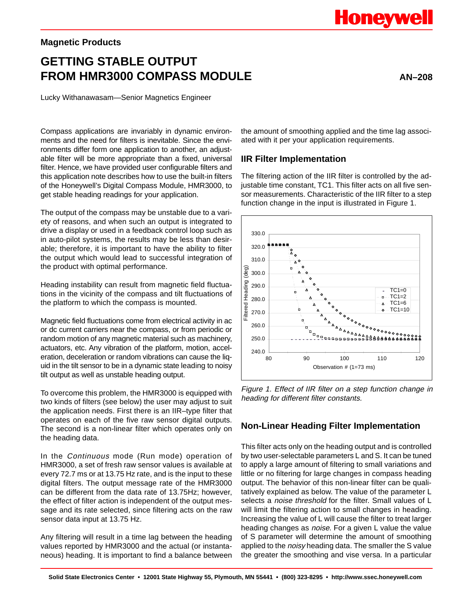#### **Magnetic Products**

# **GETTING STABLE OUTPUT FROM HMR3000 COMPASS MODULE** AN–208

Lucky Withanawasam—Senior Magnetics Engineer

Compass applications are invariably in dynamic environments and the need for filters is inevitable. Since the environments differ form one application to another, an adjustable filter will be more appropriate than a fixed, universal filter. Hence, we have provided user configurable filters and this application note describes how to use the built-in filters of the Honeywell's Digital Compass Module, HMR3000, to get stable heading readings for your application.

The output of the compass may be unstable due to a variety of reasons, and when such an output is integrated to drive a display or used in a feedback control loop such as in auto-pilot systems, the results may be less than desirable; therefore, it is important to have the ability to filter the output which would lead to successful integration of the product with optimal performance.

Heading instability can result from magnetic field fluctuations in the vicinity of the compass and tilt fluctuations of the platform to which the compass is mounted.

Magnetic field fluctuations come from electrical activity in ac or dc current carriers near the compass, or from periodic or random motion of any magnetic material such as machinery, actuators, etc. Any vibration of the platform, motion, acceleration, deceleration or random vibrations can cause the liquid in the tilt sensor to be in a dynamic state leading to noisy tilt output as well as unstable heading output.

To overcome this problem, the HMR3000 is equipped with two kinds of filters (see below) the user may adjust to suit the application needs. First there is an IIR–type filter that operates on each of the five raw sensor digital outputs. The second is a non-linear filter which operates only on the heading data.

In the Continuous mode (Run mode) operation of HMR3000, a set of fresh raw sensor values is available at every 72.7 ms or at 13.75 Hz rate, and is the input to these digital filters. The output message rate of the HMR3000 can be different from the data rate of 13.75Hz; however, the effect of filter action is independent of the output message and its rate selected, since filtering acts on the raw sensor data input at 13.75 Hz.

Any filtering will result in a time lag between the heading values reported by HMR3000 and the actual (or instantaneous) heading. It is important to find a balance between

the amount of smoothing applied and the time lag associated with it per your application requirements.

#### **IIR Filter Implementation**

The filtering action of the IIR filter is controlled by the adjustable time constant, TC1. This filter acts on all five sensor measurements. Characteristic of the IIR filter to a step function change in the input is illustrated in Figure 1.



Figure 1. Effect of IIR filter on a step function change in heading for different filter constants.

#### **Non-Linear Heading Filter Implementation**

This filter acts only on the heading output and is controlled by two user-selectable parameters L and S. It can be tuned to apply a large amount of filtering to small variations and little or no filtering for large changes in compass heading output. The behavior of this non-linear filter can be qualitatively explained as below. The value of the parameter L selects a noise threshold for the filter. Small values of L will limit the filtering action to small changes in heading. Increasing the value of L will cause the filter to treat larger heading changes as *noise*. For a given L value the value of S parameter will determine the amount of smoothing applied to the *noisy* heading data. The smaller the S value the greater the smoothing and vise versa. In a particular